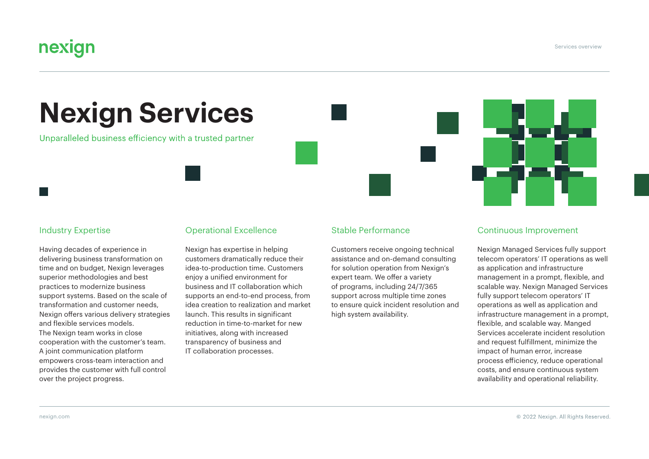Services overview

# nexign

# **Nexign Services**

Unparalleled business efficiency with a trusted partner

#### Industry Expertise

Having decades of experience in delivering business transformation on time and on budget, Nexign leverages superior methodologies and best practices to modernize business support systems. Based on the scale of transformation and customer needs, Nexign offers various delivery strategies and flexible services models. The Nexign team works in close cooperation with the customer's team. A joint communication platform empowers cross-team interaction and provides the customer with full control over the project progress.

#### Operational Excellence

Nexign has expertise in helping customers dramatically reduce their idea-to-production time. Customers enjoy a unified environment for business and IT collaboration which supports an end-to-end process, from idea creation to realization and market launch. This results in significant reduction in time-to-market for new initiatives, along with increased transparency of business and IT collaboration processes.

#### Stable Performance

Customers receive ongoing technical assistance and on-demand consulting for solution operation from Nexign's expert team. We offer a variety of programs, including 24/7/365 support across multiple time zones to ensure quick incident resolution and high system availability.



### Continuous Improvement

Nexign Managed Services fully support telecom operators' IT operations as well as application and infrastructure management in a prompt, flexible, and scalable way. Nexign Managed Services fully support telecom operators' IT operations as well as application and infrastructure management in a prompt, flexible, and scalable way. Manged Services accelerate incident resolution and request fulfillment, minimize the impact of human error, increase process efficiency, reduce operational costs, and ensure continuous system availability and operational reliability.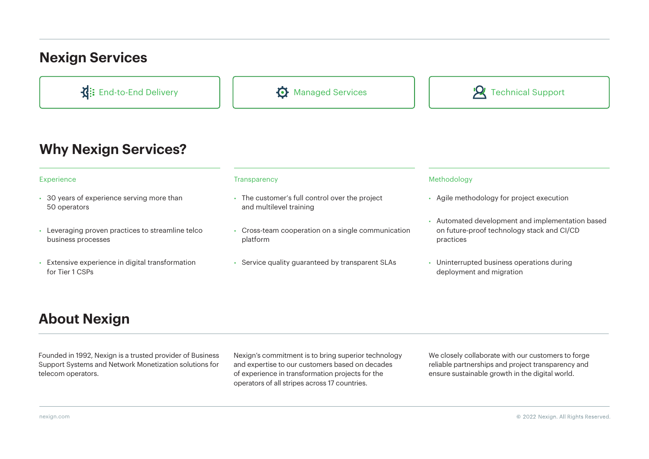# **Nexign Services**



### **Why Nexign Services?**

- 30 years of experience serving more than 50 operators
- Leveraging proven practices to streamline telco business processes
- Extensive experience in digital transformation for Tier 1 CSPs

- The customer's full control over the project and multilevel training
- Сross-team cooperation on a single communication platform
- Service quality guaranteed by transparent SLAs

#### Experience Transparency Methodology

- Agile methodology for project execution
- Automated development and implementation based on future-proof technology stack and CI/CD practices
- Uninterrupted business operations during deployment and migration

# **About Nexign**

Founded in 1992, Nexign is a trusted provider of Business Support Systems and Network Monetization solutions for telecom operators.

Nexign's commitment is to bring superior technology and expertise to our customers based on decades of experience in transformation projects for the operators of all stripes across 17 countries.

We closely collaborate with our customers to forge reliable partnerships and project transparency and ensure sustainable growth in the digital world.